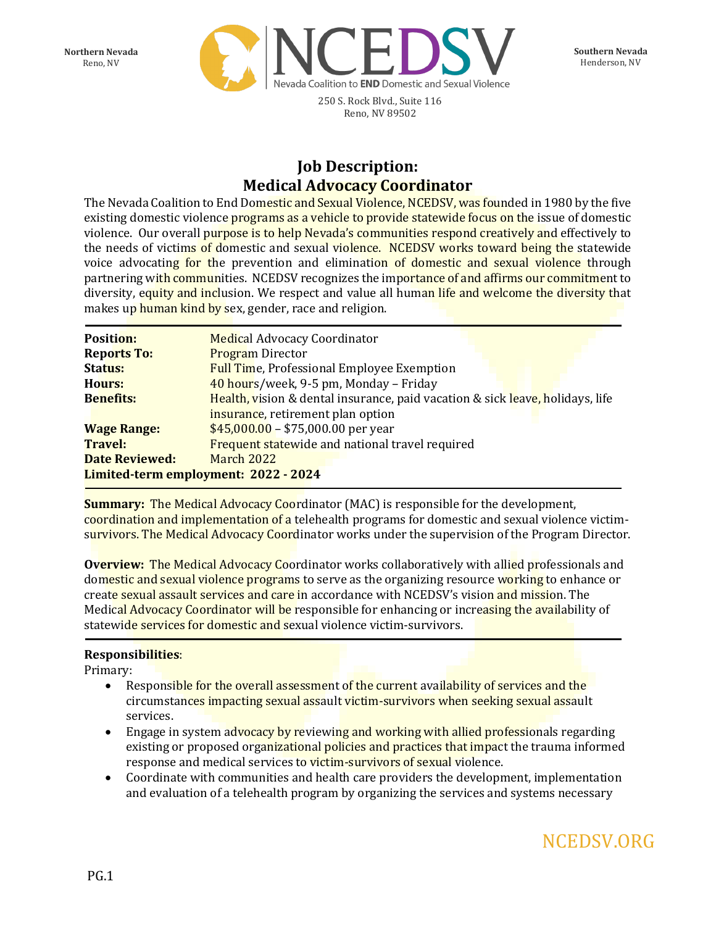**Southern Nevada** Henderson, NV

**Northern Nevada** Reno, NV



250 S. Rock Blvd., Suite 116 Reno, NV 89502

## **Job Description: Medical Advocacy Coordinator**

The Nevada Coalition to End Domestic and Sexual Violence, NCEDSV, was founded in 1980 by the five existing domestic violence programs as a vehicle to provide statewide focus on the issue of domestic violence. Our overall purpose is to help Nevada's communities respond creatively and effectively to the needs of victims of domestic and sexual violence. NCEDSV works toward being the statewide voice advocating for the prevention and elimination of domestic and sexual violence through partnering with communities. NCEDSV recognizes the importance of and affirms our commitment to diversity, equity and inclusion. We respect and value all human life and welcome the diversity that makes up human kind by sex, gender, race and religion.

| <b>Position:</b>                     | <b>Medical Advocacy Coordinator</b>                                           |
|--------------------------------------|-------------------------------------------------------------------------------|
| <b>Reports To:</b>                   | <b>Program Director</b>                                                       |
| Status:                              | <b>Full Time, Professional Employee Exemption</b>                             |
| Hours:                               | 40 hours/week, 9-5 pm, Monday - Friday                                        |
| <b>Benefits:</b>                     | Health, vision & dental insurance, paid vacation & sick leave, holidays, life |
|                                      | insurance, retirement plan option                                             |
| <b>Wage Range:</b>                   | $$45,000.00 - $75,000.00$ per year                                            |
| <b>Travel:</b>                       | Frequent statewide and national travel required                               |
| <b>Date Reviewed:</b>                | <b>March 2022</b>                                                             |
| Limited-term employment: 2022 - 2024 |                                                                               |

**Summary:** The Medical Advocacy Coordinator (MAC) is responsible for the development, coordination and implementation of a telehealth programs for domestic and sexual violence victimsurvivors. The Medical Advocacy Coordinator works under the supervision of the Program Director.

**Overview:** The Medical Advocacy Coordinator works collaboratively with allied professionals and domestic and sexual violence programs to serve as the organizing resource working to enhance or create sexual assault services and care in accordance with NCEDSV's vision and mission. The Medical Advocacy Coordinator will be responsible for enhancing or increasing the availability of statewide services for domestic and sexual violence victim-survivors.

## **Responsibilities**:

Primary:

- Responsible for the overall assessment of the current availability of services and the circumstances impacting sexual assault victim-survivors when seeking sexual assault services.
- Engage in system advocacy by reviewing and working with allied professionals regarding existing or proposed organizational policies and practices that impact the trauma informed response and medical services to victim-survivors of sexual violence.
- Coordinate with communities and health care providers the development, implementation and evaluation of a telehealth program by organizing the services and systems necessary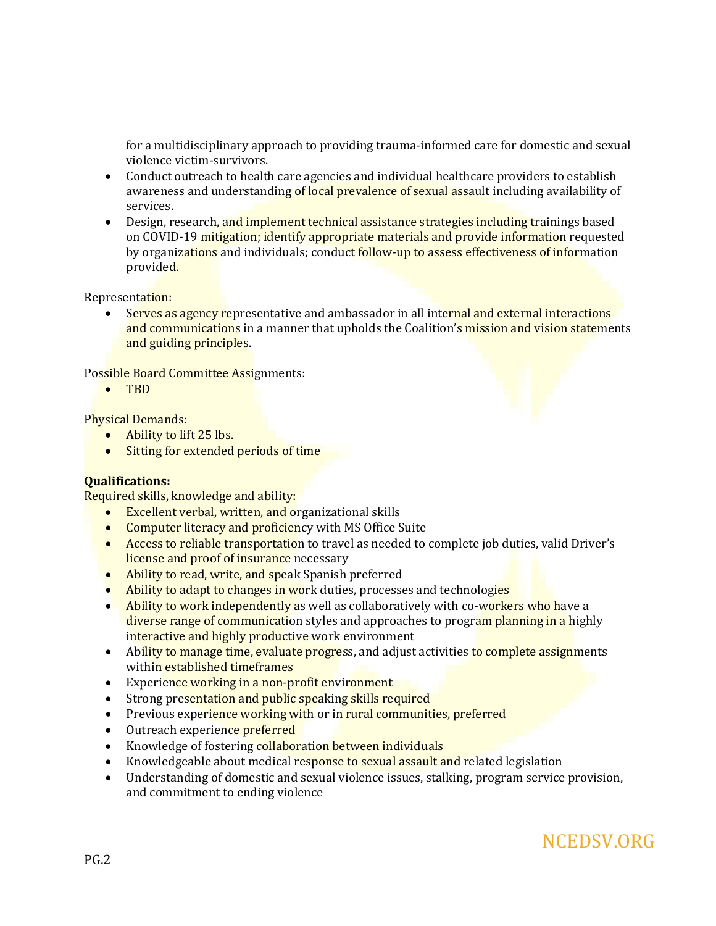for a multidisciplinary approach to providing trauma-informed care for domestic and sexual violence victim-survivors.

- Conduct outreach to health care agencies and individual healthcare providers to establish awareness and understanding of local prevalence of sexual assault including availability of services.
- Design, research, and implement technical assistance strategies including trainings based on COVID-19 mitigation; identify appropriate materials and provide information requested by organizations and individuals; conduct follow-up to assess effectiveness of information provided.

Representation:

Serves as agency representative and ambassador in all internal and external interactions and communications in a manner that upholds the Coalition's mission and vision statements and guiding principles.

Possible Board Committee Assignments:

• TBD

Physical Demands:

- Ability to lift 25 lbs.
- Sitting for extended periods of time

## **Qualifications:**

Required skills, knowledge and ability:

- Excellent verbal, written, and organizational skills
- Computer literacy and proficiency with MS Office Suite
- Access to reliable transportation to travel as needed to complete job duties, valid Driver's license and proof of insurance necessary
- Ability to read, write, and speak Spanish preferred
- Ability to adapt to changes in work duties, processes and technologies
- Ability to work independently as well as collaboratively with co-workers who have a diverse range of communication styles and approaches to program planning in a highly interactive and highly productive work environment
- Ability to manage time, evaluate progress, and adjust activities to complete assignments within established timeframes
- Experience working in a non-profit environment
- Strong presentation and public speaking skills required
- Previous experience working with or in rural communities, preferred
- Outreach experience preferred
- Knowledge of fostering collaboration between individuals
- Knowledgeable about medical response to sexual assault and related legislation
- Understanding of domestic and sexual violence issues, stalking, program service provision, and commitment to ending violence